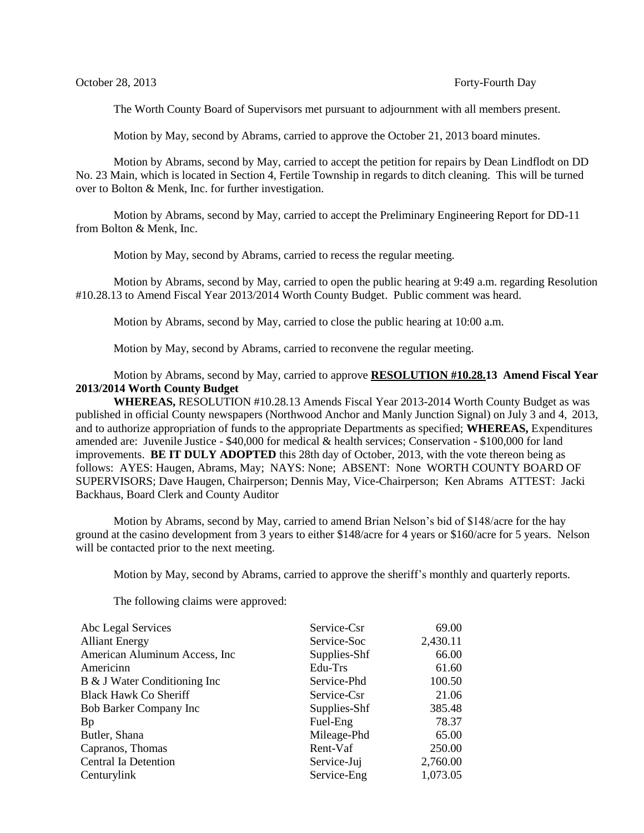The Worth County Board of Supervisors met pursuant to adjournment with all members present.

Motion by May, second by Abrams, carried to approve the October 21, 2013 board minutes.

Motion by Abrams, second by May, carried to accept the petition for repairs by Dean Lindflodt on DD No. 23 Main, which is located in Section 4, Fertile Township in regards to ditch cleaning. This will be turned over to Bolton & Menk, Inc. for further investigation.

Motion by Abrams, second by May, carried to accept the Preliminary Engineering Report for DD-11 from Bolton & Menk, Inc.

Motion by May, second by Abrams, carried to recess the regular meeting.

Motion by Abrams, second by May, carried to open the public hearing at 9:49 a.m. regarding Resolution #10.28.13 to Amend Fiscal Year 2013/2014 Worth County Budget. Public comment was heard.

Motion by Abrams, second by May, carried to close the public hearing at 10:00 a.m.

Motion by May, second by Abrams, carried to reconvene the regular meeting.

## Motion by Abrams, second by May, carried to approve **RESOLUTION #10.28.13 Amend Fiscal Year 2013/2014 Worth County Budget**

**WHEREAS,** RESOLUTION #10.28.13 Amends Fiscal Year 2013-2014 Worth County Budget as was published in official County newspapers (Northwood Anchor and Manly Junction Signal) on July 3 and 4, 2013, and to authorize appropriation of funds to the appropriate Departments as specified; **WHEREAS,** Expenditures amended are: Juvenile Justice - \$40,000 for medical & health services; Conservation - \$100,000 for land improvements. **BE IT DULY ADOPTED** this 28th day of October, 2013, with the vote thereon being as follows: AYES: Haugen, Abrams, May; NAYS: None; ABSENT: None WORTH COUNTY BOARD OF SUPERVISORS; Dave Haugen, Chairperson; Dennis May, Vice-Chairperson; Ken Abrams ATTEST: Jacki Backhaus, Board Clerk and County Auditor

Motion by Abrams, second by May, carried to amend Brian Nelson's bid of \$148/acre for the hay ground at the casino development from 3 years to either \$148/acre for 4 years or \$160/acre for 5 years. Nelson will be contacted prior to the next meeting.

Motion by May, second by Abrams, carried to approve the sheriff's monthly and quarterly reports.

The following claims were approved:

| Service-Csr  | 69.00    |
|--------------|----------|
| Service-Soc  | 2,430.11 |
| Supplies-Shf | 66.00    |
| Edu-Trs      | 61.60    |
| Service-Phd  | 100.50   |
| Service-Csr  | 21.06    |
| Supplies-Shf | 385.48   |
| Fuel-Eng     | 78.37    |
| Mileage-Phd  | 65.00    |
| Rent-Vaf     | 250.00   |
| Service-Juj  | 2,760.00 |
| Service-Eng  | 1,073.05 |
|              |          |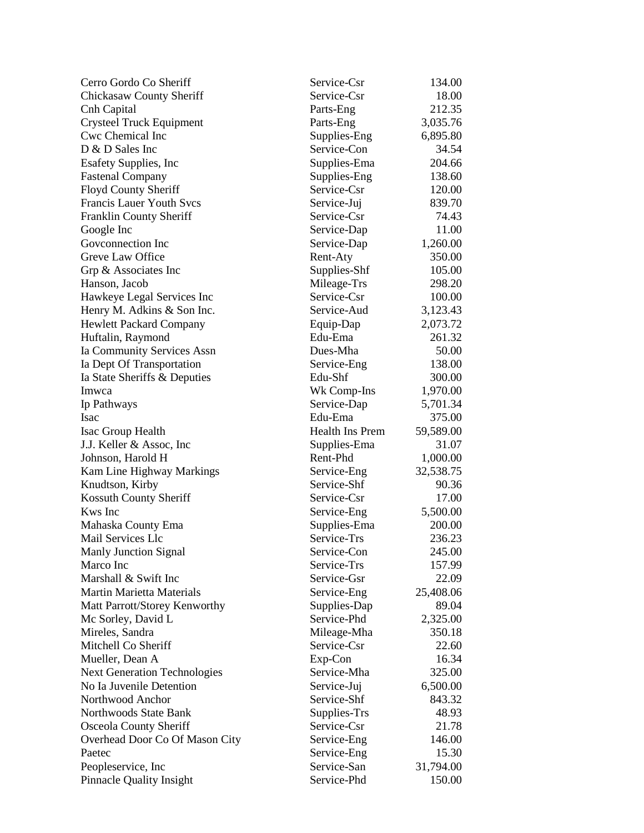| Cerro Gordo Co Sheriff              | Service-Csr            | 134.00    |
|-------------------------------------|------------------------|-----------|
| <b>Chickasaw County Sheriff</b>     | Service-Csr            | 18.00     |
| Cnh Capital                         | Parts-Eng              | 212.35    |
| <b>Crysteel Truck Equipment</b>     | Parts-Eng              | 3,035.76  |
| Cwc Chemical Inc                    | Supplies-Eng           | 6,895.80  |
| D & D Sales Inc                     | Service-Con            | 34.54     |
| <b>Esafety Supplies, Inc.</b>       | Supplies-Ema           | 204.66    |
| <b>Fastenal Company</b>             | Supplies-Eng           | 138.60    |
| Floyd County Sheriff                | Service-Csr            | 120.00    |
| <b>Francis Lauer Youth Svcs</b>     | Service-Juj            | 839.70    |
| Franklin County Sheriff             | Service-Csr            | 74.43     |
| Google Inc                          | Service-Dap            | 11.00     |
| Goveonnection Inc                   | Service-Dap            | 1,260.00  |
| Greve Law Office                    | Rent-Aty               | 350.00    |
| Grp & Associates Inc                | Supplies-Shf           | 105.00    |
| Hanson, Jacob                       | Mileage-Trs            | 298.20    |
| Hawkeye Legal Services Inc          | Service-Csr            | 100.00    |
| Henry M. Adkins & Son Inc.          | Service-Aud            | 3,123.43  |
| <b>Hewlett Packard Company</b>      | Equip-Dap              | 2,073.72  |
| Huftalin, Raymond                   | Edu-Ema                | 261.32    |
| Ia Community Services Assn          | Dues-Mha               | 50.00     |
| Ia Dept Of Transportation           | Service-Eng            | 138.00    |
| Ia State Sheriffs & Deputies        | Edu-Shf                | 300.00    |
| Imwca                               | Wk Comp-Ins            | 1,970.00  |
| Ip Pathways                         | Service-Dap            | 5,701.34  |
| Isac                                | Edu-Ema                | 375.00    |
| Isac Group Health                   | <b>Health Ins Prem</b> | 59,589.00 |
| J.J. Keller & Assoc, Inc.           | Supplies-Ema           | 31.07     |
| Johnson, Harold H                   | Rent-Phd               | 1,000.00  |
| Kam Line Highway Markings           | Service-Eng            | 32,538.75 |
| Knudtson, Kirby                     | Service-Shf            | 90.36     |
| Kossuth County Sheriff              | Service-Csr            | 17.00     |
| Kws Inc                             | Service-Eng            | 5,500.00  |
| Mahaska County Ema                  | Supplies-Ema           | 200.00    |
| Mail Services Llc                   | Service-Trs            | 236.23    |
| <b>Manly Junction Signal</b>        | Service-Con            | 245.00    |
| Marco Inc                           | Service-Trs            | 157.99    |
| Marshall & Swift Inc                | Service-Gsr            | 22.09     |
| <b>Martin Marietta Materials</b>    | Service-Eng            | 25,408.06 |
| Matt Parrott/Storey Kenworthy       | Supplies-Dap           | 89.04     |
| Mc Sorley, David L                  | Service-Phd            | 2,325.00  |
| Mireles, Sandra                     | Mileage-Mha            | 350.18    |
| Mitchell Co Sheriff                 | Service-Csr            | 22.60     |
| Mueller, Dean A                     | Exp-Con                | 16.34     |
| <b>Next Generation Technologies</b> | Service-Mha            | 325.00    |
| No Ia Juvenile Detention            | Service-Juj            | 6,500.00  |
| Northwood Anchor                    | Service-Shf            | 843.32    |
| Northwoods State Bank               | Supplies-Trs           | 48.93     |
| Osceola County Sheriff              | Service-Csr            | 21.78     |
| Overhead Door Co Of Mason City      | Service-Eng            | 146.00    |
| Paetec                              | Service-Eng            | 15.30     |
| Peopleservice, Inc                  | Service-San            | 31,794.00 |
| <b>Pinnacle Quality Insight</b>     | Service-Phd            | 150.00    |
|                                     |                        |           |